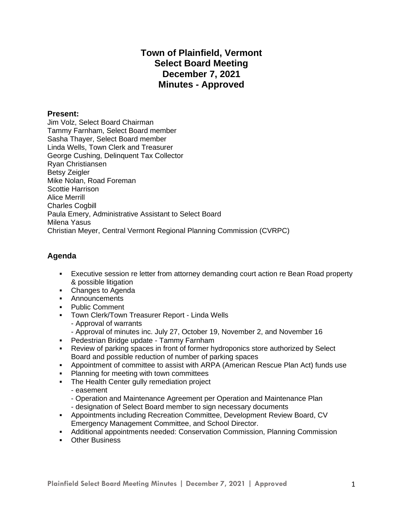# **Town of Plainfield, Vermont Select Board Meeting December 7, 2021 Minutes - Approved**

## **Present:**

Jim Volz, Select Board Chairman Tammy Farnham, Select Board member Sasha Thayer, Select Board member Linda Wells, Town Clerk and Treasurer George Cushing, Delinquent Tax Collector Ryan Christiansen Betsy Zeigler Mike Nolan, Road Foreman Scottie Harrison Alice Merrill Charles Cogbill Paula Emery, Administrative Assistant to Select Board Milena Yasus Christian Meyer, Central Vermont Regional Planning Commission (CVRPC)

# **Agenda**

- Executive session re letter from attorney demanding court action re Bean Road property & possible litigation
- Changes to Agenda
- Announcements
- Public Comment
- **Town Clerk/Town Treasurer Report Linda Wells** 
	- Approval of warrants
	- Approval of minutes inc. July 27, October 19, November 2, and November 16
- **Pedestrian Bridge update Tammy Farnham**
- Review of parking spaces in front of former hydroponics store authorized by Select Board and possible reduction of number of parking spaces
- Appointment of committee to assist with ARPA (American Rescue Plan Act) funds use
- **Planning for meeting with town committees**
- **The Health Center gully remediation project** 
	- easement
	- Operation and Maintenance Agreement per Operation and Maintenance Plan
	- designation of Select Board member to sign necessary documents
- Appointments including Recreation Committee, Development Review Board, CV Emergency Management Committee, and School Director.
- Additional appointments needed: Conservation Commission, Planning Commission
- Other Business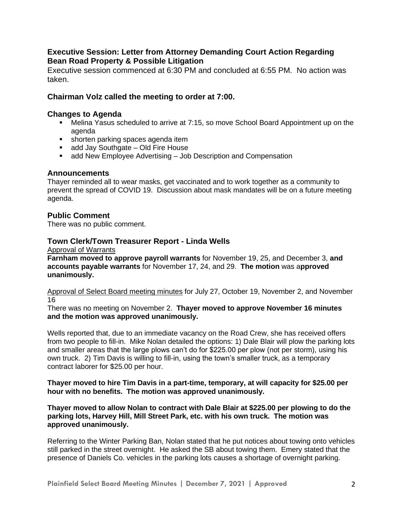# **Executive Session: Letter from Attorney Demanding Court Action Regarding Bean Road Property & Possible Litigation**

Executive session commenced at 6:30 PM and concluded at 6:55 PM. No action was taken.

# **Chairman Volz called the meeting to order at 7:00.**

## **Changes to Agenda**

- **■** Melina Yasus scheduled to arrive at 7:15, so move School Board Appointment up on the agenda
- shorten parking spaces agenda item
- add Jay Southgate Old Fire House
- add New Employee Advertising Job Description and Compensation

## **Announcements**

Thayer reminded all to wear masks, get vaccinated and to work together as a community to prevent the spread of COVID 19. Discussion about mask mandates will be on a future meeting agenda.

## **Public Comment**

There was no public comment.

## **Town Clerk/Town Treasurer Report - Linda Wells**

Approval of Warrants

**Farnham moved to approve payroll warrants** for November 19, 25, and December 3, **and accounts payable warrants** for November 17, 24, and 29. **The motion** was a**pproved unanimously.** 

Approval of Select Board meeting minutes for July 27, October 19, November 2, and November 16

There was no meeting on November 2. **Thayer moved to approve November 16 minutes and the motion was approved unanimously.** 

Wells reported that, due to an immediate vacancy on the Road Crew, she has received offers from two people to fill-in. Mike Nolan detailed the options: 1) Dale Blair will plow the parking lots and smaller areas that the large plows can't do for \$225.00 per plow (not per storm), using his own truck. 2) Tim Davis is willing to fill-in, using the town's smaller truck, as a temporary contract laborer for \$25.00 per hour.

**Thayer moved to hire Tim Davis in a part-time, temporary, at will capacity for \$25.00 per hour with no benefits. The motion was approved unanimously.** 

**Thayer moved to allow Nolan to contract with Dale Blair at \$225.00 per plowing to do the parking lots, Harvey Hill, Mill Street Park, etc. with his own truck. The motion was approved unanimously.** 

Referring to the Winter Parking Ban, Nolan stated that he put notices about towing onto vehicles still parked in the street overnight. He asked the SB about towing them. Emery stated that the presence of Daniels Co. vehicles in the parking lots causes a shortage of overnight parking.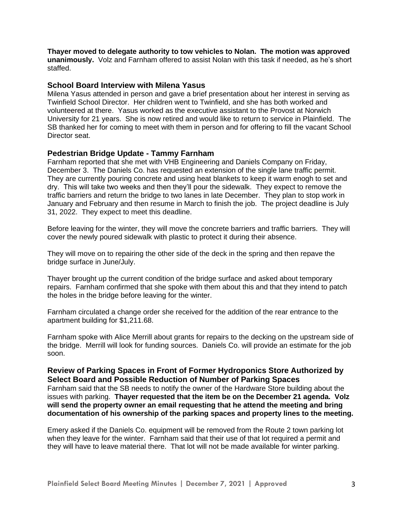**Thayer moved to delegate authority to tow vehicles to Nolan. The motion was approved unanimously.** Volz and Farnham offered to assist Nolan with this task if needed, as he's short staffed.

### **School Board Interview with Milena Yasus**

Milena Yasus attended in person and gave a brief presentation about her interest in serving as Twinfield School Director. Her children went to Twinfield, and she has both worked and volunteered at there. Yasus worked as the executive assistant to the Provost at Norwich University for 21 years. She is now retired and would like to return to service in Plainfield. The SB thanked her for coming to meet with them in person and for offering to fill the vacant School Director seat.

### **Pedestrian Bridge Update - Tammy Farnham**

Farnham reported that she met with VHB Engineering and Daniels Company on Friday, December 3. The Daniels Co. has requested an extension of the single lane traffic permit. They are currently pouring concrete and using heat blankets to keep it warm enogh to set and dry. This will take two weeks and then they'll pour the sidewalk. They expect to remove the traffic barriers and return the bridge to two lanes in late December. They plan to stop work in January and February and then resume in March to finish the job. The project deadline is July 31, 2022. They expect to meet this deadline.

Before leaving for the winter, they will move the concrete barriers and traffic barriers. They will cover the newly poured sidewalk with plastic to protect it during their absence.

They will move on to repairing the other side of the deck in the spring and then repave the bridge surface in June/July.

Thayer brought up the current condition of the bridge surface and asked about temporary repairs. Farnham confirmed that she spoke with them about this and that they intend to patch the holes in the bridge before leaving for the winter.

Farnham circulated a change order she received for the addition of the rear entrance to the apartment building for \$1,211.68.

Farnham spoke with Alice Merrill about grants for repairs to the decking on the upstream side of the bridge. Merrill will look for funding sources. Daniels Co. will provide an estimate for the job soon.

### **Review of Parking Spaces in Front of Former Hydroponics Store Authorized by Select Board and Possible Reduction of Number of Parking Spaces**

Farnham said that the SB needs to notify the owner of the Hardware Store building about the issues with parking. **Thayer requested that the item be on the December 21 agenda. Volz will send the property owner an email requesting that he attend the meeting and bring documentation of his ownership of the parking spaces and property lines to the meeting.**

Emery asked if the Daniels Co. equipment will be removed from the Route 2 town parking lot when they leave for the winter. Farnham said that their use of that lot required a permit and they will have to leave material there. That lot will not be made available for winter parking.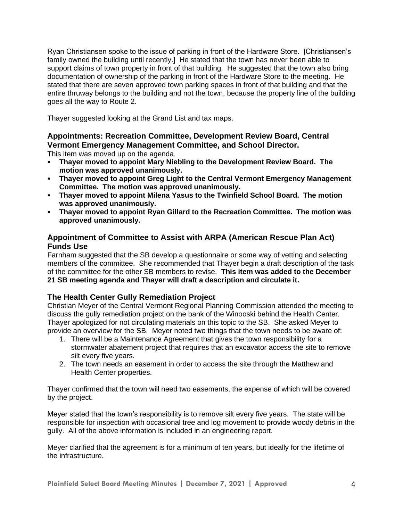Ryan Christiansen spoke to the issue of parking in front of the Hardware Store. [Christiansen's family owned the building until recently.] He stated that the town has never been able to support claims of town property in front of that building. He suggested that the town also bring documentation of ownership of the parking in front of the Hardware Store to the meeting. He stated that there are seven approved town parking spaces in front of that building and that the entire thruway belongs to the building and not the town, because the property line of the building goes all the way to Route 2.

Thayer suggested looking at the Grand List and tax maps.

# **Appointments: Recreation Committee, Development Review Board, Central Vermont Emergency Management Committee, and School Director.**

This item was moved up on the agenda.

- **Thayer moved to appoint Mary Niebling to the Development Review Board. The motion was approved unanimously.**
- **Thayer moved to appoint Greg Light to the Central Vermont Emergency Management Committee. The motion was approved unanimously.**
- **Thayer moved to appoint Milena Yasus to the Twinfield School Board. The motion was approved unanimously.**
- **Thayer moved to appoint Ryan Gillard to the Recreation Committee. The motion was approved unanimously.**

# **Appointment of Committee to Assist with ARPA (American Rescue Plan Act) Funds Use**

Farnham suggested that the SB develop a questionnaire or some way of vetting and selecting members of the committee. She recommended that Thayer begin a draft description of the task of the committee for the other SB members to revise. **This item was added to the December 21 SB meeting agenda and Thayer will draft a description and circulate it.** 

# **The Health Center Gully Remediation Project**

Christian Meyer of the Central Vermont Regional Planning Commission attended the meeting to discuss the gully remediation project on the bank of the Winooski behind the Health Center. Thayer apologized for not circulating materials on this topic to the SB. She asked Meyer to provide an overview for the SB. Meyer noted two things that the town needs to be aware of:

- 1. There will be a Maintenance Agreement that gives the town responsibility for a stormwater abatement project that requires that an excavator access the site to remove silt every five years.
- 2. The town needs an easement in order to access the site through the Matthew and Health Center properties.

Thayer confirmed that the town will need two easements, the expense of which will be covered by the project.

Meyer stated that the town's responsibility is to remove silt every five years. The state will be responsible for inspection with occasional tree and log movement to provide woody debris in the gully. All of the above information is included in an engineering report.

Meyer clarified that the agreement is for a minimum of ten years, but ideally for the lifetime of the infrastructure.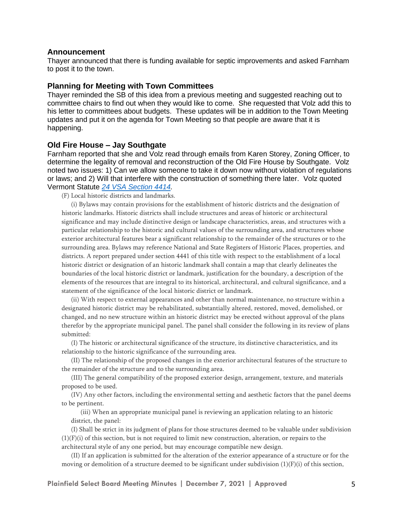#### **Announcement**

Thayer announced that there is funding available for septic improvements and asked Farnham to post it to the town.

### **Planning for Meeting with Town Committees**

Thayer reminded the SB of this idea from a previous meeting and suggested reaching out to committee chairs to find out when they would like to come. She requested that Volz add this to his letter to committees about budgets. These updates will be in addition to the Town Meeting updates and put it on the agenda for Town Meeting so that people are aware that it is happening.

#### **Old Fire House – Jay Southgate**

Farnham reported that she and Volz read through emails from Karen Storey, Zoning Officer, to determine the legality of removal and reconstruction of the Old Fire House by Southgate. Volz noted two issues: 1) Can we allow someone to take it down now without violation of regulations or laws; and 2) Will that interfere with the construction of something there later. Volz quoted Vermont Statute *[24 VSA Section 4414.](https://legislature.vermont.gov/statutes/section/24/117/04414)*

(F) Local historic districts and landmarks.

(i) Bylaws may contain provisions for the establishment of historic districts and the designation of historic landmarks. Historic districts shall include structures and areas of historic or architectural significance and may include distinctive design or landscape characteristics, areas, and structures with a particular relationship to the historic and cultural values of the surrounding area, and structures whose exterior architectural features bear a significant relationship to the remainder of the structures or to the surrounding area. Bylaws may reference National and State Registers of Historic Places, properties, and districts. A report prepared under section 4441 of this title with respect to the establishment of a local historic district or designation of an historic landmark shall contain a map that clearly delineates the boundaries of the local historic district or landmark, justification for the boundary, a description of the elements of the resources that are integral to its historical, architectural, and cultural significance, and a statement of the significance of the local historic district or landmark.

(ii) With respect to external appearances and other than normal maintenance, no structure within a designated historic district may be rehabilitated, substantially altered, restored, moved, demolished, or changed, and no new structure within an historic district may be erected without approval of the plans therefor by the appropriate municipal panel. The panel shall consider the following in its review of plans submitted:

(I) The historic or architectural significance of the structure, its distinctive characteristics, and its relationship to the historic significance of the surrounding area.

(II) The relationship of the proposed changes in the exterior architectural features of the structure to the remainder of the structure and to the surrounding area.

(III) The general compatibility of the proposed exterior design, arrangement, texture, and materials proposed to be used.

(IV) Any other factors, including the environmental setting and aesthetic factors that the panel deems to be pertinent.

(iii) When an appropriate municipal panel is reviewing an application relating to an historic district, the panel:

(I) Shall be strict in its judgment of plans for those structures deemed to be valuable under subdivision  $(1)(F)(i)$  of this section, but is not required to limit new construction, alteration, or repairs to the architectural style of any one period, but may encourage compatible new design.

(II) If an application is submitted for the alteration of the exterior appearance of a structure or for the moving or demolition of a structure deemed to be significant under subdivision  $(1)(F)(i)$  of this section,

**Plainfield Select Board Meeting Minutes | December 7, 2021 | Approved** 5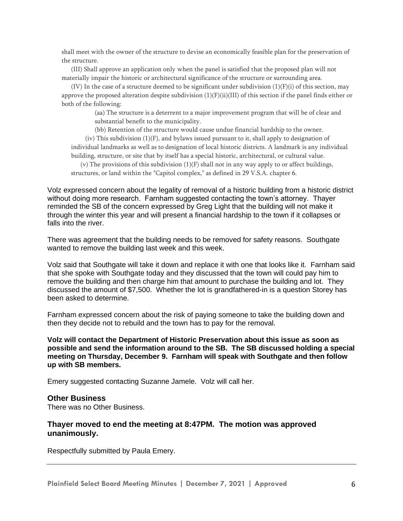shall meet with the owner of the structure to devise an economically feasible plan for the preservation of the structure.

(III) Shall approve an application only when the panel is satisfied that the proposed plan will not materially impair the historic or architectural significance of the structure or surrounding area.

(IV) In the case of a structure deemed to be significant under subdivision  $(1)(F)(i)$  of this section, may approve the proposed alteration despite subdivision  $(1)(F)(ii)(III)$  of this section if the panel finds either or both of the following:

> (aa) The structure is a deterrent to a major improvement program that will be of clear and substantial benefit to the municipality.

(bb) Retention of the structure would cause undue financial hardship to the owner.

(iv) This subdivision (1)(F), and bylaws issued pursuant to it, shall apply to designation of individual landmarks as well as to designation of local historic districts. A landmark is any individual building, structure, or site that by itself has a special historic, architectural, or cultural value.

(v) The provisions of this subdivision  $(1)(F)$  shall not in any way apply to or affect buildings, structures, or land within the "Capitol complex," as defined in 29 V.S.A. chapter 6.

Volz expressed concern about the legality of removal of a historic building from a historic district without doing more research. Farnham suggested contacting the town's attorney. Thayer reminded the SB of the concern expressed by Greg Light that the building will not make it through the winter this year and will present a financial hardship to the town if it collapses or falls into the river.

There was agreement that the building needs to be removed for safety reasons. Southgate wanted to remove the building last week and this week.

Volz said that Southgate will take it down and replace it with one that looks like it. Farnham said that she spoke with Southgate today and they discussed that the town will could pay him to remove the building and then charge him that amount to purchase the building and lot. They discussed the amount of \$7,500. Whether the lot is grandfathered-in is a question Storey has been asked to determine.

Farnham expressed concern about the risk of paying someone to take the building down and then they decide not to rebuild and the town has to pay for the removal.

**Volz will contact the Department of Historic Preservation about this issue as soon as possible and send the information around to the SB. The SB discussed holding a special meeting on Thursday, December 9. Farnham will speak with Southgate and then follow up with SB members.**

Emery suggested contacting Suzanne Jamele. Volz will call her.

#### **Other Business**

There was no Other Business.

### **Thayer moved to end the meeting at 8:47PM. The motion was approved unanimously.**

Respectfully submitted by Paula Emery.